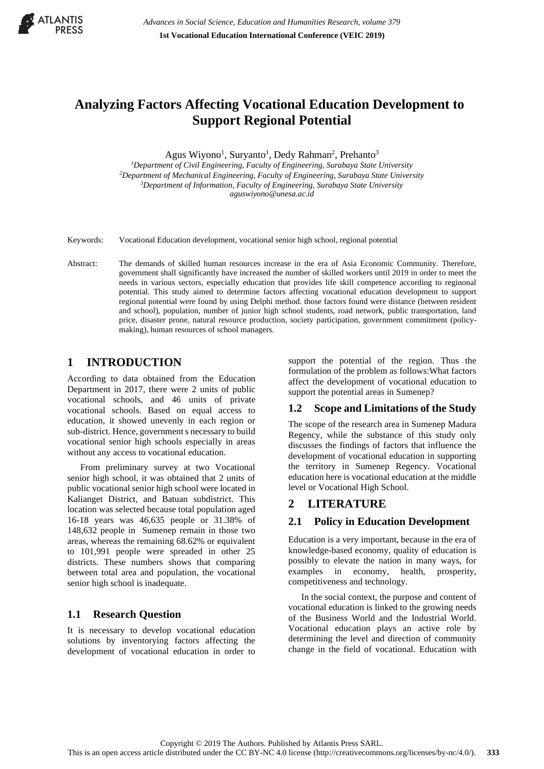

# **Analyzing Factors Affecting Vocational Education Development to Support Regional Potential**

Agus Wiyono<sup>1</sup>, Suryanto<sup>1</sup>, Dedy Rahman<sup>2</sup>, Prehanto<sup>3</sup>

*Department of Civil Engineering, Faculty of Engineering, Surabaya State University Department of Mechanical Engineering, Faculty of Engineering, Surabaya State University Department of Information, Faculty of Engineering, Surabaya State University aguswiyono@unesa.ac.id*

- Keywords: Vocational Education development, vocational senior high school, regional potential
- Abstract: The demands of skilled human resources increase in the era of Asia Economic Community. Therefore, government shall significantly have increased the number of skilled workers until 2019 in order to meet the needs in various sectors, especially education that provides life skill competence according to reginonal potential. This study aimed to determine factors affecting vocational education development to support regional potential were found by using Delphi method. those factors found were distance (between resident and school), population, number of junior high school students, road network, public transportation, land price, disaster prone, natural resource production, society participation, government commitment (policymaking), human resources of school managers.

## **1 INTRODUCTION**

According to data obtained from the Education Department in 2017, there were 2 units of public vocational schools, and 46 units of private vocational schools. Based on equal access to education, it showed unevenly in each region or sub-district. Hence, government s necessary to build vocational senior high schools especially in areas without any access to vocational education.

From preliminary survey at two Vocational senior high school, it was obtained that 2 units of public vocational senior high school were located in Kalianget District, and Batuan subdistrict. This location was selected because total population aged 16-18 years was 46,635 people or 31.38% of 148,632 people in Sumenep remain in those two areas, whereas the remaining 68.62% or equivalent to 101,991 people were spreaded in other 25 districts. These numbers shows that comparing between total area and population, the vocational senior high school is inadequate.

### **1.1 Research Question**

It is necessary to develop vocational education solutions by inventorying factors affecting the development of vocational education in order to

support the potential of the region. Thus the formulation of the problem as follows:What factors affect the development of vocational education to support the potential areas in Sumenep?

## **1.2 Scope and Limitations of the Study**

The scope of the research area in Sumenep Madura Regency, while the substance of this study only discusses the findings of factors that influence the development of vocational education in supporting the territory in Sumenep Regency. Vocational education here is vocational education at the middle level or Vocational High School.

## **2 LITERATURE**

### **2.1 Policy in Education Development**

Education is a very important, because in the era of knowledge-based economy, quality of education is possibly to elevate the nation in many ways, for examples in economy, health, prosperity, competitiveness and technology.

In the social context, the purpose and content of vocational education is linked to the growing needs of the Business World and the Industrial World. Vocational education plays an active role by determining the level and direction of community change in the field of vocational. Education with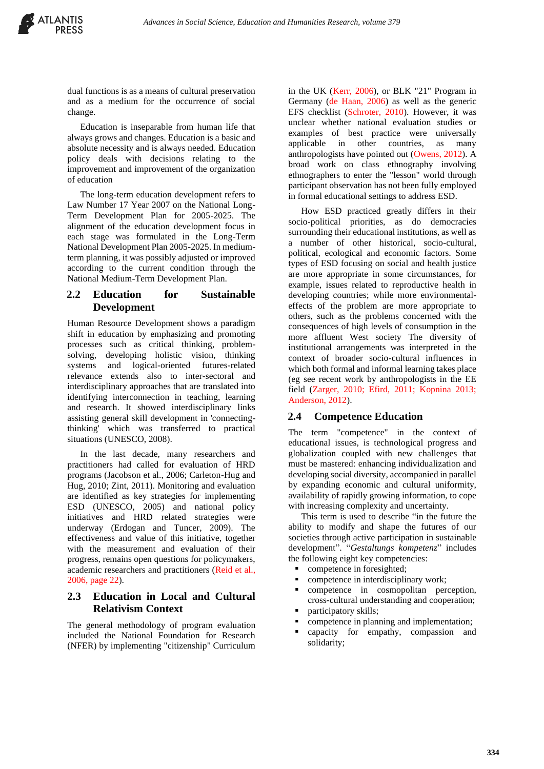dual functions is as a means of cultural preservation and as a medium for the occurrence of social change.

Education is inseparable from human life that always grows and changes. Education is a basic and absolute necessity and is always needed. Education policy deals with decisions relating to the improvement and improvement of the organization of education

The long-term education development refers to Law Number 17 Year 2007 on the National Long-Term Development Plan for 2005-2025. The alignment of the education development focus in each stage was formulated in the Long-Term National Development Plan 2005-2025. In mediumterm planning, it was possibly adjusted or improved according to the current condition through the National Medium-Term Development Plan.

#### **2.2 Education for Sustainable Development**

Human Resource Development shows a paradigm shift in education by emphasizing and promoting processes such as critical thinking, problemsolving, developing holistic vision, thinking systems and logical-oriented futures-related relevance extends also to inter-sectoral and interdisciplinary approaches that are translated into identifying interconnection in teaching, learning and research. It showed interdisciplinary links assisting general skill development in 'connectingthinking' which was transferred to practical situations (UNESCO, 2008).

In the last decade, many researchers and practitioners had called for evaluation of HRD programs (Jacobson et al., 2006; Carleton-Hug and Hug, 2010; Zint, 2011). Monitoring and evaluation are identified as key strategies for implementing ESD (UNESCO, 2005) and national policy initiatives and HRD related strategies were underway (Erdogan and Tuncer, 2009). The effectiveness and value of this initiative, together with the measurement and evaluation of their progress, remains open questions for policymakers, academic researchers and practitioners (Reid et al., 2006, page 22).

#### **2.3 Education in Local and Cultural Relativism Context**

The general methodology of program evaluation included the National Foundation for Research (NFER) by implementing "citizenship" Curriculum

in the UK (Kerr, 2006), or BLK "21" Program in Germany (de Haan, 2006) as well as the generic EFS checklist (Schroter, 2010). However, it was unclear whether national evaluation studies or examples of best practice were universally applicable in other countries, as many anthropologists have pointed out (Owens, 2012). A broad work on class ethnography involving ethnographers to enter the "lesson" world through participant observation has not been fully employed in formal educational settings to address ESD.

How ESD practiced greatly differs in their socio-political priorities, as do democracies surrounding their educational institutions, as well as a number of other historical, socio-cultural, political, ecological and economic factors. Some types of ESD focusing on social and health justice are more appropriate in some circumstances, for example, issues related to reproductive health in developing countries; while more environmentaleffects of the problem are more appropriate to others, such as the problems concerned with the consequences of high levels of consumption in the more affluent West society The diversity of institutional arrangements was interpreted in the context of broader socio-cultural influences in which both formal and informal learning takes place (eg see recent work by anthropologists in the EE field (Zarger, 2010; Efird, 2011; Kopnina 2013; Anderson, 2012).

#### **2.4 Competence Education**

The term "competence" in the context of educational issues, is technological progress and globalization coupled with new challenges that must be mastered: enhancing individualization and developing social diversity, accompanied in parallel by expanding economic and cultural uniformity, availability of rapidly growing information, to cope with increasing complexity and uncertainty.

This term is used to describe "in the future the ability to modify and shape the futures of our societies through active participation in sustainable development". "*Gestaltungs kompetenz*" includes the following eight key competencies:

- competence in foresighted;
- competence in interdisciplinary work;
- competence in cosmopolitan perception, cross-cultural understanding and cooperation;
- participatory skills;
- competence in planning and implementation; capacity for empathy, compassion and solidarity;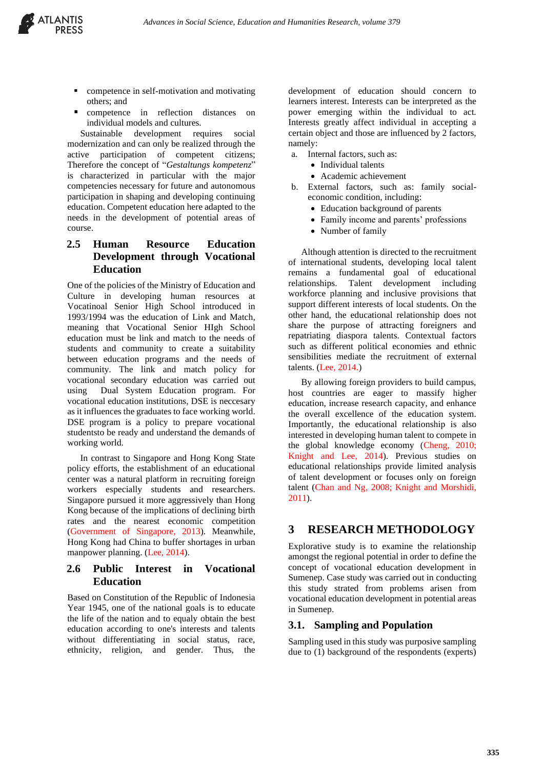

- competence in self-motivation and motivating others; and
- competence in reflection distances on individual models and cultures.

Sustainable development requires social modernization and can only be realized through the active participation of competent citizens; Therefore the concept of "*Gestaltungs kompetenz*" is characterized in particular with the major competencies necessary for future and autonomous participation in shaping and developing continuing education. Competent education here adapted to the needs in the development of potential areas of course.

### **2.5 Human Resource Education Development through Vocational Education**

One of the policies of the Ministry of Education and Culture in developing human resources at Vocatinoal Senior High School introduced in 1993/1994 was the education of Link and Match, meaning that Vocational Senior HIgh School education must be link and match to the needs of students and community to create a suitability between education programs and the needs of community. The link and match policy for vocational secondary education was carried out using Dual System Education program. For vocational education institutions, DSE is neccesary as it influences the graduates to face working world. DSE program is a policy to prepare vocational studentsto be ready and understand the demands of working world.

In contrast to Singapore and Hong Kong State policy efforts, the establishment of an educational center was a natural platform in recruiting foreign workers especially students and researchers. Singapore pursued it more aggressively than Hong Kong because of the implications of declining birth rates and the nearest economic competition (Government of Singapore, 2013). Meanwhile, Hong Kong had China to buffer shortages in urban manpower planning. (Lee, 2014).

#### **2.6 Public Interest in Vocational Education**

Based on Constitution of the Republic of Indonesia Year 1945, one of the national goals is to educate the life of the nation and to equaly obtain the best education according to one's interests and talents without differentiating in social status, race, ethnicity, religion, and gender. Thus, the

development of education should concern to learners interest. Interests can be interpreted as the power emerging within the individual to act. Interests greatly affect individual in accepting a certain object and those are influenced by 2 factors, namely:

- a. Internal factors, such as:
	- Individual talents
	- Academic achievement
- b. External factors, such as: family socialeconomic condition, including:
	- Education background of parents
	- Family income and parents' professions
	- Number of family

Although attention is directed to the recruitment of international students, developing local talent remains a fundamental goal of educational relationships. Talent development including workforce planning and inclusive provisions that support different interests of local students. On the other hand, the educational relationship does not share the purpose of attracting foreigners and repatriating diaspora talents. Contextual factors such as different political economies and ethnic sensibilities mediate the recruitment of external talents. (Lee, 2014.)

By allowing foreign providers to build campus, host countries are eager to massify higher education, increase research capacity, and enhance the overall excellence of the education system. Importantly, the educational relationship is also interested in developing human talent to compete in the global knowledge economy (Cheng, 2010; Knight and Lee, 2014). Previous studies on educational relationships provide limited analysis of talent development or focuses only on foreign talent (Chan and Ng, 2008; Knight and Morshidi, 2011).

## **3 RESEARCH METHODOLOGY**

Explorative study is to examine the relationship amongst the regional potential in order to define the concept of vocational education development in Sumenep. Case study was carried out in conducting this study strated from problems arisen from vocational education development in potential areas in Sumenep.

#### **3.1. Sampling and Population**

Sampling used in this study was purposive sampling due to (1) background of the respondents (experts)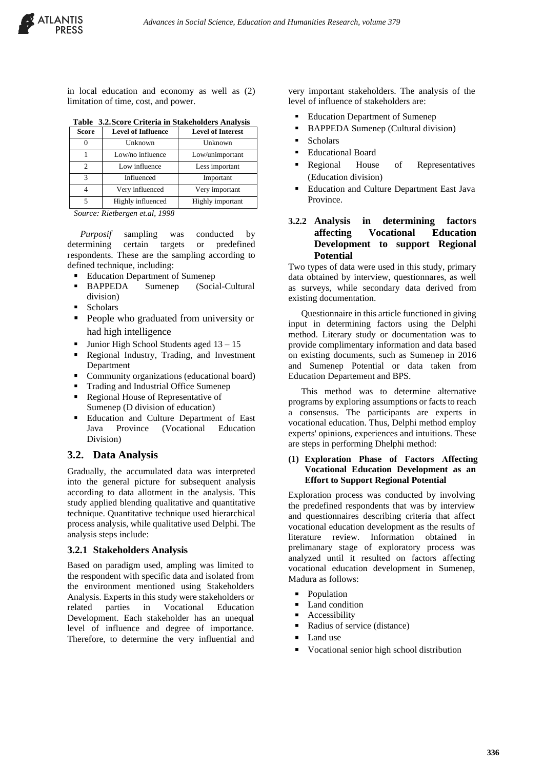

in local education and economy as well as (2) limitation of time, cost, and power.

|  |  |  | Table 3.2. Score Criteria in Stakeholders Analysis |  |
|--|--|--|----------------------------------------------------|--|
|--|--|--|----------------------------------------------------|--|

| <b>Score</b> | <b>Level of Influence</b> | <b>Level of Interest</b> |
|--------------|---------------------------|--------------------------|
|              | Unknown                   | Unknown                  |
|              | Low/no influence          | Low/unimportant          |
|              | Low influence             | Less important           |
| 3            | Influenced                | Important                |
|              | Very influenced           | Very important           |
|              | Highly influenced         | Highly important         |

*Source: Rietbergen et.al, 1998* sekali

*Purposif* sampling was conducted by determining certain targets or predefined respondents. These are the sampling according to defined technique, including:

- Education Department of Sumenep
- BAPPEDA Sumenep (Social-Cultural division)
- **Scholars**
- People who graduated from university or had high intelligence
- Junior High School Students aged  $13 15$
- Regional Industry, Trading, and Investment Department
- Community organizations (educational board)
- Trading and Industrial Office Sumenep
- Regional House of Representative of
- Sumenep (D division of education) Education and Culture Department of East
- Java Province (Vocational Education Division)

#### **3.2. Data Analysis**

Gradually, the accumulated data was interpreted into the general picture for subsequent analysis according to data allotment in the analysis. This study applied blending qualitative and quantitative technique. Quantitative technique used hierarchical process analysis, while qualitative used Delphi. The analysis steps include:

#### **3.2.1 Stakeholders Analysis**

Based on paradigm used, ampling was limited to the respondent with specific data and isolated from the environment mentioned using Stakeholders Analysis. Experts in this study were stakeholders or related parties in Vocational Education Development. Each stakeholder has an unequal level of influence and degree of importance. Therefore, to determine the very influential and very important stakeholders. The analysis of the level of influence of stakeholders are:

- **Education Department of Sumenep**
- **BAPPEDA Sumenep (Cultural division)**
- **Scholars**
- **Educational Board**
- Regional House of Representatives (Education division)
- Education and Culture Department East Java Province.

#### **3.2.2 Analysis in determining factors affecting Vocational Education Development to support Regional Potential**

Two types of data were used in this study, primary data obtained by interview, questionnares, as well as surveys, while secondary data derived from existing documentation.

Questionnaire in this article functioned in giving input in determining factors using the Delphi method. Literary study or documentation was to provide complimentary information and data based on existing documents, such as Sumenep in 2016 and Sumenep Potential or data taken from Education Departement and BPS.

This method was to determine alternative programs by exploring assumptions or facts to reach a consensus. The participants are experts in vocational education. Thus, Delphi method employ experts' opinions, experiences and intuitions. These are steps in performing Dhelphi method:

#### **(1) Exploration Phase of Factors Affecting Vocational Education Development as an Effort to Support Regional Potential**

Exploration process was conducted by involving the predefined respondents that was by interview and questionnaires describing criteria that affect vocational education development as the results of literature review. Information obtained in prelimanary stage of exploratory process was analyzed until it resulted on factors affecting vocational education development in Sumenep, Madura as follows:

- **•** Population
- Land condition
- Accessibility
- Radius of service (distance)
- Land use
- Vocational senior high school distribution